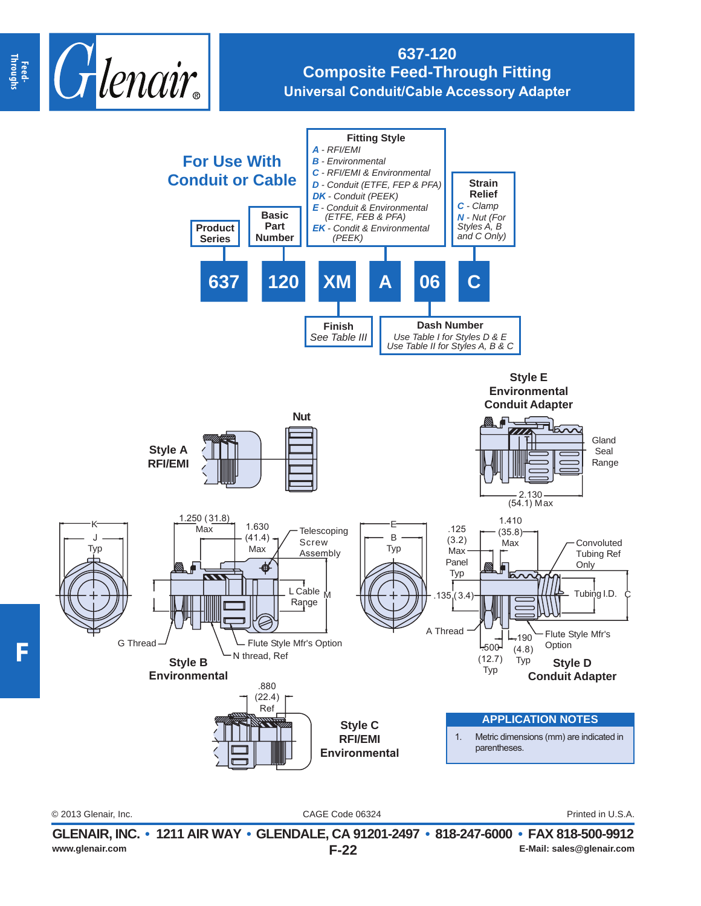

## **637-120 Composite Feed-Through Fitting Universal Conduit/Cable Accessory Adapter**



CAGE Code 06324 © 2013 Glenair, Inc. Printed in U.S.A.